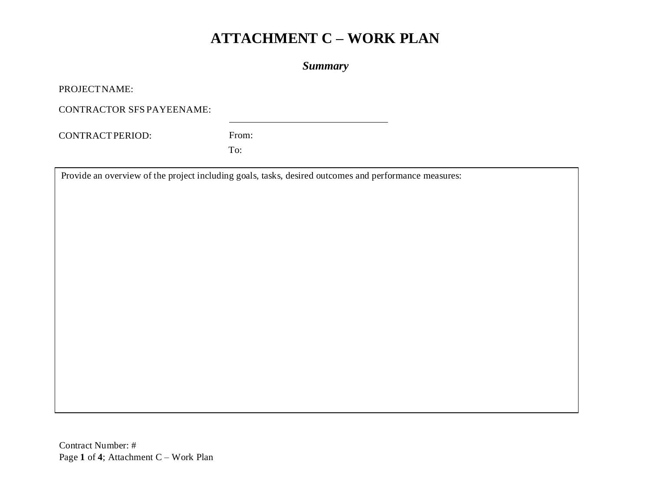*Summary*

PROJECTNAME:

CONTRACTOR SFS PAYEENAME:

CONTRACT PERIOD: From:

To:

Provide an overview of the project including goals, tasks, desired outcomes and performance measures:

Contract Number: # Page **1** of **4**; Attachment C – Work Plan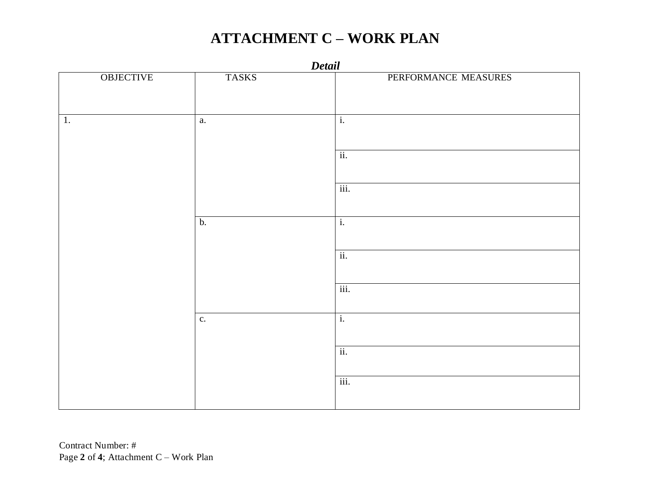| <b>Detail</b>    |               |                           |
|------------------|---------------|---------------------------|
| <b>OBJECTIVE</b> | <b>TASKS</b>  | PERFORMANCE MEASURES      |
| 1.               | a.            | $\overline{\mathbf{i}}$ . |
|                  |               | ii.                       |
|                  |               | iii.                      |
|                  | $b$ .         | $\overline{\mathbf{i}}$ . |
|                  |               | $\overline{ii}$ .<br>iii. |
|                  | $\mathbf{c}.$ | $\overline{\mathbf{i}}$ . |
|                  |               | ii.                       |
|                  |               | iii.                      |
|                  |               |                           |

Contract Number: # Page **2** of **4**; Attachment C – Work Plan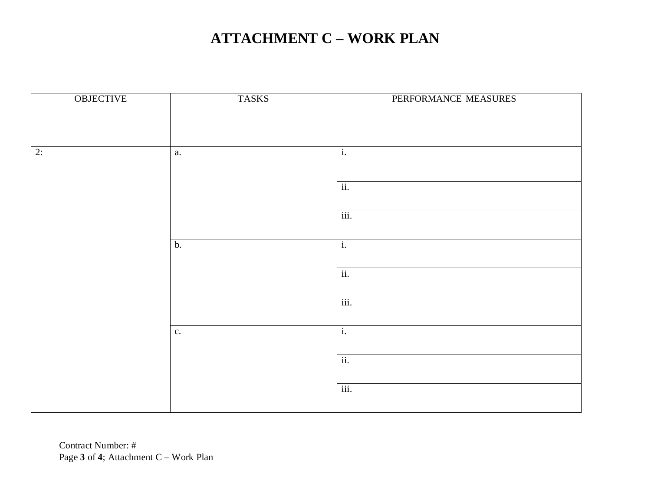| <b>OBJECTIVE</b> | <b>TASKS</b>   | PERFORMANCE MEASURES |
|------------------|----------------|----------------------|
|                  |                |                      |
|                  |                |                      |
|                  |                |                      |
| 2:               | a.             | $\mathbf{i}$ .       |
|                  |                |                      |
|                  |                | ii.                  |
|                  |                |                      |
|                  |                |                      |
|                  |                | iii.                 |
|                  |                |                      |
|                  | $\mathbf b$ .  | $\rm i.$             |
|                  |                |                      |
|                  |                | $\overline{ii}$ .    |
|                  |                |                      |
|                  |                | iii.                 |
|                  |                |                      |
|                  | $\mathbf{c}$ . | $\mathbf{i}$ .       |
|                  |                |                      |
|                  |                | $\overline{ii}$ .    |
|                  |                |                      |
|                  |                | iii.                 |
|                  |                |                      |
|                  |                |                      |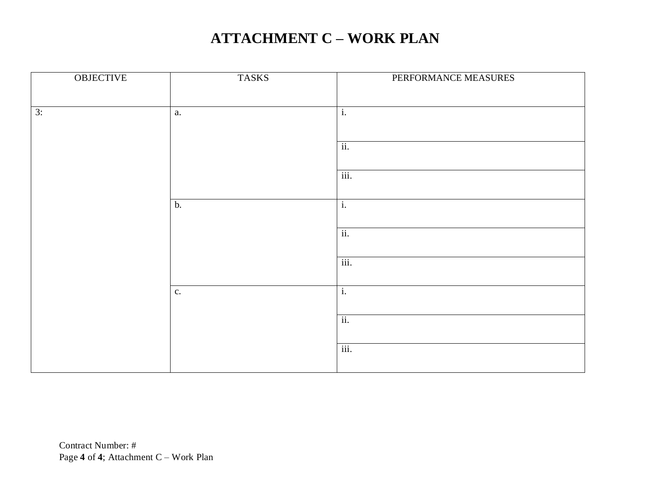| <b>OBJECTIVE</b> | <b>TASKS</b>   | PERFORMANCE MEASURES      |
|------------------|----------------|---------------------------|
|                  |                |                           |
| $\overline{3}$ : | a.             | $\overline{\mathbf{i}}$ . |
|                  |                |                           |
|                  |                | $\overline{ii}$ .         |
|                  |                |                           |
|                  |                | $\overline{\text{iii}}$ . |
|                  |                | $\overline{\mathbf{i}}$ . |
|                  | b.             |                           |
|                  |                | ii.                       |
|                  |                |                           |
|                  |                | iii.                      |
|                  |                |                           |
|                  | $\mathbf{c}$ . | $\mathbf{i}$ .            |
|                  |                | ii.                       |
|                  |                |                           |
|                  |                | iii.                      |
|                  |                |                           |

Contract Number: # Page **4** of **4**; Attachment C – Work Plan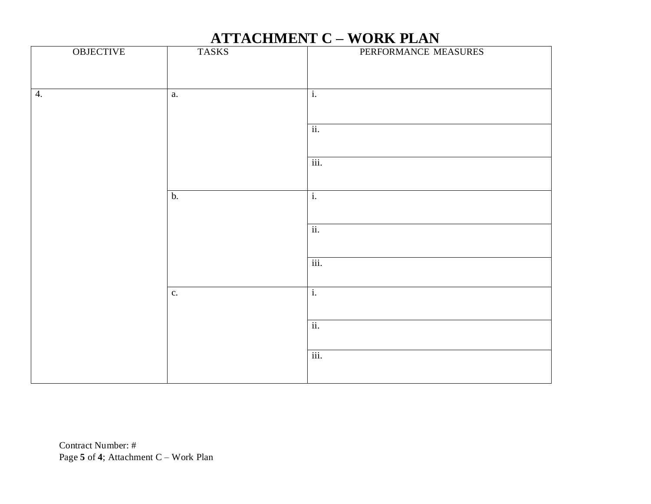| <b>OBJECTIVE</b> | <b>TASKS</b>   | PERFORMANCE MEASURES      |
|------------------|----------------|---------------------------|
|                  |                |                           |
|                  |                |                           |
| 4.               | a.             | $\overline{\mathbf{i}}$ . |
|                  |                |                           |
|                  |                | $\overline{ii}$ .         |
|                  |                |                           |
|                  |                |                           |
|                  |                | iii.                      |
|                  |                |                           |
|                  | b.             | $\overline{\mathbf{i}}$ . |
|                  |                |                           |
|                  |                | $\overline{ii}$ .         |
|                  |                |                           |
|                  |                |                           |
|                  |                | iii.                      |
|                  |                |                           |
|                  | $\mathbf{c}$ . | $\overline{\mathbf{i}}$ . |
|                  |                |                           |
|                  |                | ii.                       |
|                  |                |                           |
|                  |                | $\overline{\text{iii}}$ . |
|                  |                |                           |
|                  |                |                           |

Contract Number: # Page **5** of **4**; Attachment C – Work Plan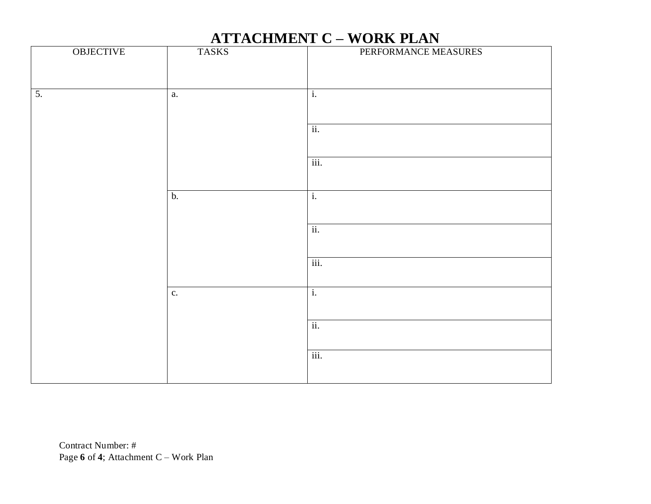| <b>OBJECTIVE</b> | <b>TASKS</b>   | PERFORMANCE MEASURES      |
|------------------|----------------|---------------------------|
|                  |                |                           |
|                  |                |                           |
| $\overline{5}$ . | a.             | $\overline{\mathbf{i}}$ . |
|                  |                |                           |
|                  |                | ii.                       |
|                  |                |                           |
|                  |                | iii.                      |
|                  |                |                           |
|                  | b.             | $\overline{\mathbf{i}}$ . |
|                  |                |                           |
|                  |                | ii.                       |
|                  |                |                           |
|                  |                | iii.                      |
|                  |                |                           |
|                  | $\mathbf{c}$ . | $\overline{\mathbf{i}}$ . |
|                  |                |                           |
|                  |                | ii.                       |
|                  |                |                           |
|                  |                | iii.                      |
|                  |                |                           |

Contract Number: # Page **6** of **4**; Attachment C – Work Plan